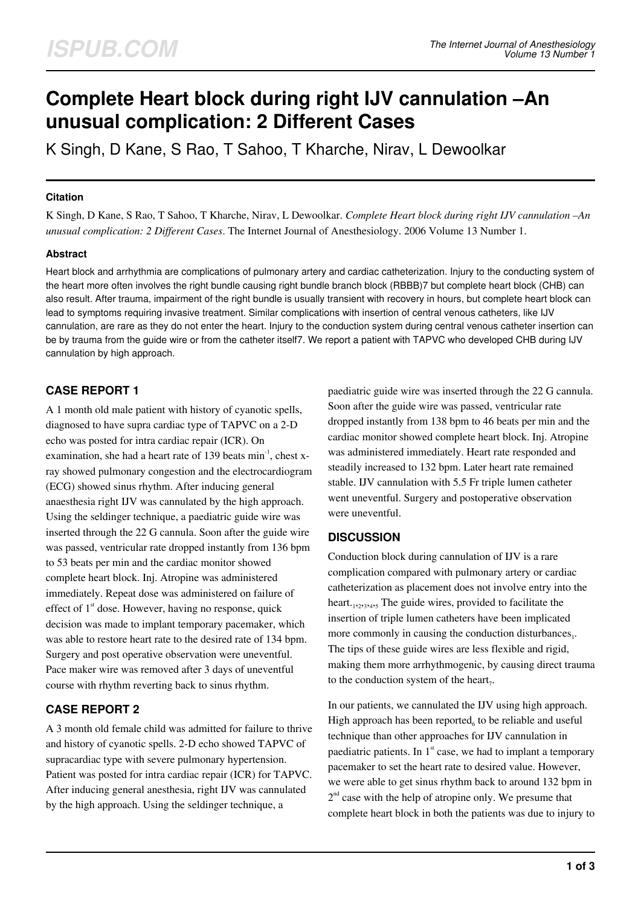# **Complete Heart block during right IJV cannulation –An unusual complication: 2 Different Cases**

K Singh, D Kane, S Rao, T Sahoo, T Kharche, Nirav, L Dewoolkar

#### **Citation**

K Singh, D Kane, S Rao, T Sahoo, T Kharche, Nirav, L Dewoolkar. *Complete Heart block during right IJV cannulation –An unusual complication: 2 Different Cases*. The Internet Journal of Anesthesiology. 2006 Volume 13 Number 1.

### **Abstract**

Heart block and arrhythmia are complications of pulmonary artery and cardiac catheterization. Injury to the conducting system of the heart more often involves the right bundle causing right bundle branch block (RBBB)7 but complete heart block (CHB) can also result. After trauma, impairment of the right bundle is usually transient with recovery in hours, but complete heart block can lead to symptoms requiring invasive treatment. Similar complications with insertion of central venous catheters, like IJV cannulation, are rare as they do not enter the heart. Injury to the conduction system during central venous catheter insertion can be by trauma from the guide wire or from the catheter itself7. We report a patient with TAPVC who developed CHB during IJV cannulation by high approach.

# **CASE REPORT 1**

A 1 month old male patient with history of cyanotic spells, diagnosed to have supra cardiac type of TAPVC on a 2-D echo was posted for intra cardiac repair (ICR). On examination, she had a heart rate of 139 beats min<sup>-1</sup>, chest xray showed pulmonary congestion and the electrocardiogram (ECG) showed sinus rhythm. After inducing general anaesthesia right IJV was cannulated by the high approach. Using the seldinger technique, a paediatric guide wire was inserted through the 22 G cannula. Soon after the guide wire was passed, ventricular rate dropped instantly from 136 bpm to 53 beats per min and the cardiac monitor showed complete heart block. Inj. Atropine was administered immediately. Repeat dose was administered on failure of effect of  $1<sup>st</sup>$  dose. However, having no response, quick decision was made to implant temporary pacemaker, which was able to restore heart rate to the desired rate of 134 bpm. Surgery and post operative observation were uneventful. Pace maker wire was removed after 3 days of uneventful course with rhythm reverting back to sinus rhythm.

# **CASE REPORT 2**

A 3 month old female child was admitted for failure to thrive and history of cyanotic spells. 2-D echo showed TAPVC of supracardiac type with severe pulmonary hypertension. Patient was posted for intra cardiac repair (ICR) for TAPVC. After inducing general anesthesia, right IJV was cannulated by the high approach. Using the seldinger technique, a

paediatric guide wire was inserted through the 22 G cannula. Soon after the guide wire was passed, ventricular rate dropped instantly from 138 bpm to 46 beats per min and the cardiac monitor showed complete heart block. Inj. Atropine was administered immediately. Heart rate responded and steadily increased to 132 bpm. Later heart rate remained stable. IJV cannulation with 5.5 Fr triple lumen catheter went uneventful. Surgery and postoperative observation were uneventful.

## **DISCUSSION**

Conduction block during cannulation of IJV is a rare complication compared with pulmonary artery or cardiac catheterization as placement does not involve entry into the heart.<sub>1,2,3,4,5</sub> The guide wires, provided to facilitate the insertion of triple lumen catheters have been implicated more commonly in causing the conduction disturbances $_1$ . The tips of these guide wires are less flexible and rigid, making them more arrhythmogenic, by causing direct trauma to the conduction system of the heart,.

In our patients, we cannulated the IJV using high approach. High approach has been reported $_6$  to be reliable and useful technique than other approaches for IJV cannulation in paediatric patients. In  $1<sup>st</sup>$  case, we had to implant a temporary pacemaker to set the heart rate to desired value. However, we were able to get sinus rhythm back to around 132 bpm in  $2<sup>nd</sup>$  case with the help of atropine only. We presume that complete heart block in both the patients was due to injury to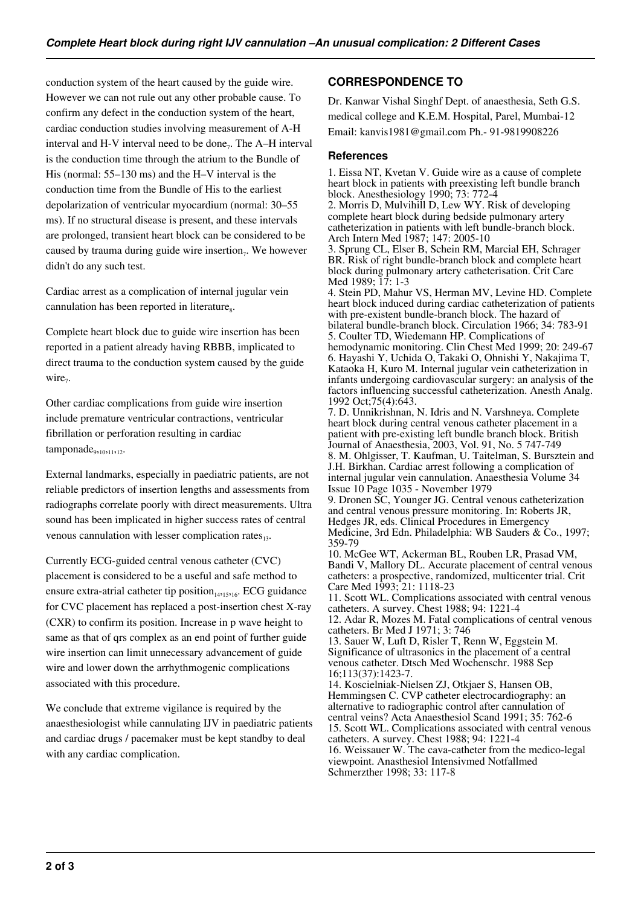conduction system of the heart caused by the guide wire. However we can not rule out any other probable cause. To confirm any defect in the conduction system of the heart, cardiac conduction studies involving measurement of A-H interval and H-V interval need to be done<sub>7</sub>. The A–H interval is the conduction time through the atrium to the Bundle of His (normal: 55–130 ms) and the H–V interval is the conduction time from the Bundle of His to the earliest depolarization of ventricular myocardium (normal: 30–55 ms). If no structural disease is present, and these intervals are prolonged, transient heart block can be considered to be caused by trauma during guide wire insertion<sub>7</sub>. We however didn't do any such test.

Cardiac arrest as a complication of internal jugular vein cannulation has been reported in literature<sub>s</sub>.

Complete heart block due to guide wire insertion has been reported in a patient already having RBBB, implicated to direct trauma to the conduction system caused by the guide  $wire_7$ .

Other cardiac complications from guide wire insertion include premature ventricular contractions, ventricular fibrillation or perforation resulting in cardiac tamponade<sub>9,10,11,12</sub>.

External landmarks, especially in paediatric patients, are not reliable predictors of insertion lengths and assessments from radiographs correlate poorly with direct measurements. Ultra sound has been implicated in higher success rates of central venous cannulation with lesser complication rates $_{13}$ .

Currently ECG-guided central venous catheter (CVC) placement is considered to be a useful and safe method to ensure extra-atrial catheter tip position<sub>14,15,16</sub>. ECG guidance for CVC placement has replaced a post-insertion chest X-ray (CXR) to confirm its position. Increase in p wave height to same as that of qrs complex as an end point of further guide wire insertion can limit unnecessary advancement of guide wire and lower down the arrhythmogenic complications associated with this procedure.

We conclude that extreme vigilance is required by the anaesthesiologist while cannulating IJV in paediatric patients and cardiac drugs / pacemaker must be kept standby to deal with any cardiac complication.

## **CORRESPONDENCE TO**

Dr. Kanwar Vishal Singhf Dept. of anaesthesia, Seth G.S. medical college and K.E.M. Hospital, Parel, Mumbai-12 Email: kanvis1981@gmail.com Ph.- 91-9819908226

#### **References**

1. Eissa NT, Kvetan V. Guide wire as a cause of complete heart block in patients with preexisting left bundle branch block. Anesthesiology 1990; 73: 772-4

2. Morris D, Mulvihill D, Lew WY. Risk of developing complete heart block during bedside pulmonary artery catheterization in patients with left bundle-branch block. Arch Intern Med 1987; 147: 2005-10

3. Sprung CL, Elser B, Schein RM, Marcial EH, Schrager BR. Risk of right bundle-branch block and complete heart block during pulmonary artery catheterisation. Crit Care Med 1989; 17: 1-3

4. Stein PD, Mahur VS, Herman MV, Levine HD. Complete heart block induced during cardiac catheterization of patients with pre-existent bundle-branch block. The hazard of bilateral bundle-branch block. Circulation 1966; 34: 783-91 5. Coulter TD, Wiedemann HP. Complications of hemodynamic monitoring. Clin Chest Med 1999; 20: 249-67 6. Hayashi Y, Uchida O, Takaki O, Ohnishi Y, Nakajima T, Kataoka H, Kuro M. Internal jugular vein catheterization in infants undergoing cardiovascular surgery: an analysis of the factors influencing successful catheterization. Anesth Analg. 1992 Oct;75(4):643.

7. D. Unnikrishnan, N. Idris and N. Varshneya. Complete heart block during central venous catheter placement in a patient with pre-existing left bundle branch block. British Journal of Anaesthesia, 2003, Vol. 91, No. 5 747-749 8. M. Ohlgisser, T. Kaufman, U. Taitelman, S. Bursztein and J.H. Birkhan. Cardiac arrest following a complication of internal jugular vein cannulation. Anaesthesia Volume 34 Issue 10 Page 1035 - November 1979 9. Dronen SC, Younger JG. Central venous catheterization

and central venous pressure monitoring. In: Roberts JR, Hedges JR, eds. Clinical Procedures in Emergency Medicine, 3rd Edn. Philadelphia: WB Sauders & Co., 1997; 359-79

10. McGee WT, Ackerman BL, Rouben LR, Prasad VM, Bandi V, Mallory DL. Accurate placement of central venous catheters: a prospective, randomized, multicenter trial. Crit Care Med 1993; 21: 1118-23

11. Scott WL. Complications associated with central venous catheters. A survey. Chest 1988; 94: 1221-4

12. Adar R, Mozes M. Fatal complications of central venous catheters. Br Med J 1971; 3: 746

13. Sauer W, Luft D, Risler T, Renn W, Eggstein M. Significance of ultrasonics in the placement of a central venous catheter. Dtsch Med Wochenschr. 1988 Sep 16;113(37):1423-7.

14. Koscielniak-Nielsen ZJ, Otkjaer S, Hansen OB, Hemmingsen C. CVP catheter electrocardiography: an alternative to radiographic control after cannulation of central veins? Acta Anaesthesiol Scand 1991; 35: 762-6 15. Scott WL. Complications associated with central venous catheters. A survey. Chest 1988; 94: 1221-4 16. Weissauer W. The cava-catheter from the medico-legal viewpoint. Anasthesiol Intensivmed Notfallmed Schmerzther 1998; 33: 117-8